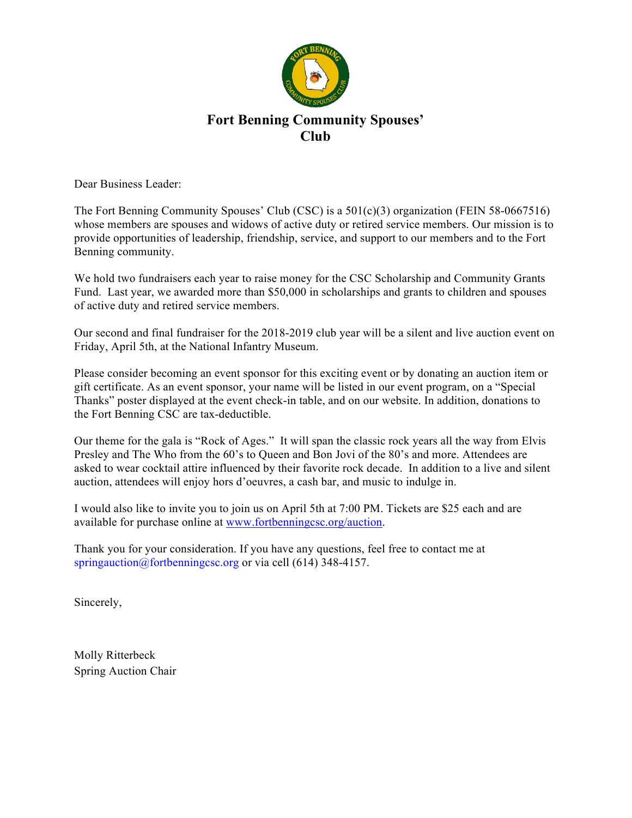

## **Fort Benning Community Spouses' Club**

Dear Business Leader:

The Fort Benning Community Spouses' Club (CSC) is a 501(c)(3) organization (FEIN 58-0667516) whose members are spouses and widows of active duty or retired service members. Our mission is to provide opportunities of leadership, friendship, service, and support to our members and to the Fort Benning community.

We hold two fundraisers each year to raise money for the CSC Scholarship and Community Grants Fund. Last year, we awarded more than \$50,000 in scholarships and grants to children and spouses of active duty and retired service members.

Our second and final fundraiser for the 2018-2019 club year will be a silent and live auction event on Friday, April 5th, at the National Infantry Museum.

Please consider becoming an event sponsor for this exciting event or by donating an auction item or gift certificate. As an event sponsor, your name will be listed in our event program, on a "Special Thanks" poster displayed at the event check-in table, and on our website. In addition, donations to the Fort Benning CSC are tax-deductible.

Our theme for the gala is "Rock of Ages." It will span the classic rock years all the way from Elvis Presley and The Who from the 60's to Queen and Bon Jovi of the 80's and more. Attendees are asked to wear cocktail attire influenced by their favorite rock decade. In addition to a live and silent auction, attendees will enjoy hors d'oeuvres, a cash bar, and music to indulge in.

I would also like to invite you to join us on April 5th at 7:00 PM. Tickets are \$25 each and are available for purchase online at www.fortbenningcsc.org/auction.

Thank you for your consideration. If you have any questions, feel free to contact me at springauction@fortbenningcsc.org or via cell (614) 348-4157.

Sincerely,

Molly Ritterbeck Spring Auction Chair